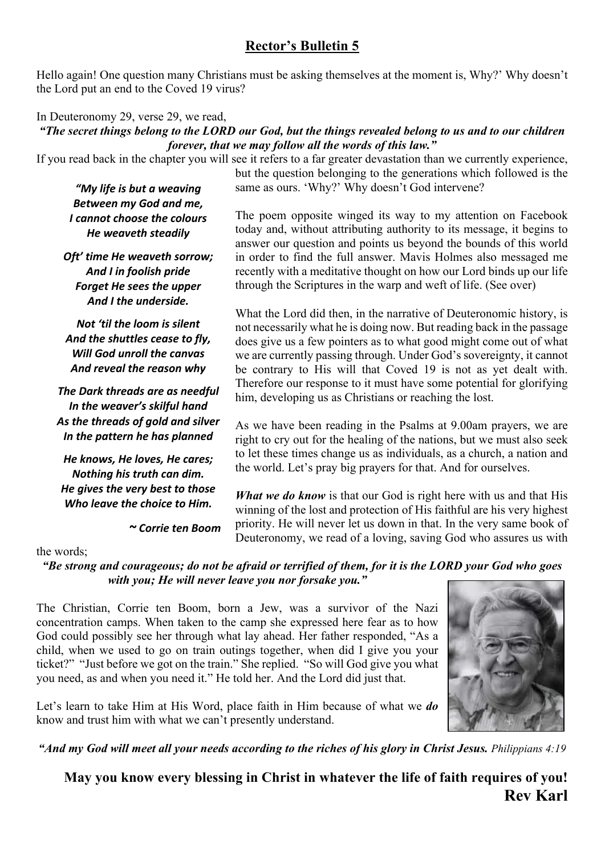## **Rector's Bulletin 5**

Hello again! One question many Christians must be asking themselves at the moment is, Why?' Why doesn't the Lord put an end to the Coved 19 virus?

### In Deuteronomy 29, verse 29, we read,

### *"The secret things belong to the LORD our God, but the things revealed belong to us and to our children forever, that we may follow all the words of this law."*

If you read back in the chapter you will see it refers to a far greater devastation than we currently experience,

*"My life is but a weaving Between my God and me, I cannot choose the colours He weaveth steadily*

*Oft' time He weaveth sorrow; And I in foolish pride Forget He sees the upper And I the underside.*

*Not 'til the loom is silent And the shuttles cease to fly, Will God unroll the canvas And reveal the reason why*

*The Dark threads are as needful In the weaver's skilful hand As the threads of gold and silver In the pattern he has planned*

*He knows, He loves, He cares; Nothing his truth can dim. He gives the very best to those Who leave the choice to Him.*

 *~ Corrie ten Boom*

but the question belonging to the generations which followed is the same as ours. 'Why?' Why doesn't God intervene?

The poem opposite winged its way to my attention on Facebook today and, without attributing authority to its message, it begins to answer our question and points us beyond the bounds of this world in order to find the full answer. Mavis Holmes also messaged me recently with a meditative thought on how our Lord binds up our life through the Scriptures in the warp and weft of life. (See over)

What the Lord did then, in the narrative of Deuteronomic history, is not necessarily what he is doing now. But reading back in the passage does give us a few pointers as to what good might come out of what we are currently passing through. Under God's sovereignty, it cannot be contrary to His will that Coved 19 is not as yet dealt with. Therefore our response to it must have some potential for glorifying him, developing us as Christians or reaching the lost.

As we have been reading in the Psalms at 9.00am prayers, we are right to cry out for the healing of the nations, but we must also seek to let these times change us as individuals, as a church, a nation and the world. Let's pray big prayers for that. And for ourselves.

*What we do know* is that our God is right here with us and that His winning of the lost and protection of His faithful are his very highest priority. He will never let us down in that. In the very same book of Deuteronomy, we read of a loving, saving God who assures us with

#### the words;

*"Be strong and courageous; do not be afraid or terrified of them, for it is the LORD your God who goes with you; He will never leave you nor forsake you."*

The Christian, Corrie ten Boom, born a Jew, was a survivor of the Nazi concentration camps. When taken to the camp she expressed here fear as to how God could possibly see her through what lay ahead. Her father responded, "As a child, when we used to go on train outings together, when did I give you your ticket?" "Just before we got on the train." She replied. "So will God give you what you need, as and when you need it." He told her. And the Lord did just that.



Let's learn to take Him at His Word, place faith in Him because of what we *do* know and trust him with what we can't presently understand.

*"And my God will meet all your needs according to the riches of his glory in Christ Jesus. Philippians 4:19*

**May you know every blessing in Christ in whatever the life of faith requires of you! Rev Karl**